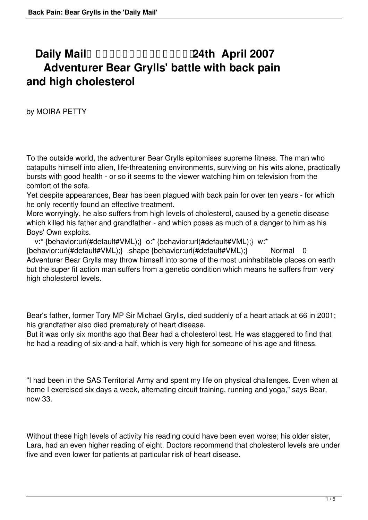## **Daily Mail 24th April 2007 Adventurer Bear Grylls' battle with back pain and high cholesterol**

by MOIRA PETTY

To the outside world, the adventurer Bear Grylls epitomises supreme fitness. The man who catapults himself into alien, life-threatening environments, surviving on his wits alone, practically bursts with good health - or so it seems to the viewer watching him on television from the comfort of the sofa.

Yet despite appearances, Bear has been plagued with back pain for over ten years - for which he only recently found an effective treatment.

More worryingly, he also suffers from high levels of cholesterol, caused by a genetic disease which killed his father and grandfather - and which poses as much of a danger to him as his Boys' Own exploits.

v:\* {behavior:url(#default#VML);} o:\* {behavior:url(#default#VML);} w:\*

{behavior:url(#default#VML);} .shape {behavior:url(#default#VML);} Normal 0 Adventurer Bear Grylls may throw himself into some of the most uninhabitable places on earth but the super fit action man suffers from a genetic condition which means he suffers from very high cholesterol levels.

Bear's father, former Tory MP Sir Michael Grylls, died suddenly of a heart attack at 66 in 2001; his grandfather also died prematurely of heart disease.

But it was only six months ago that Bear had a cholesterol test. He was staggered to find that he had a reading of six-and-a half, which is very high for someone of his age and fitness.

"I had been in the SAS Territorial Army and spent my life on physical challenges. Even when at home I exercised six days a week, alternating circuit training, running and yoga," says Bear, now 33.

Without these high levels of activity his reading could have been even worse; his older sister, Lara, had an even higher reading of eight. Doctors recommend that cholesterol levels are under five and even lower for patients at particular risk of heart disease.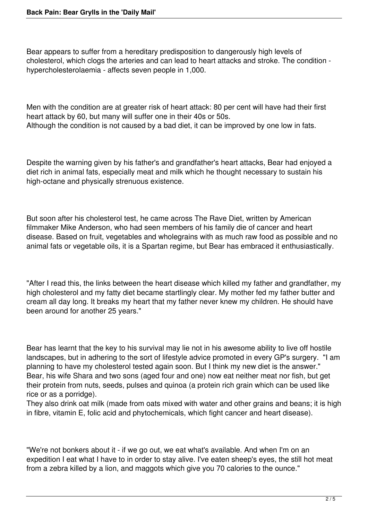Bear appears to suffer from a hereditary predisposition to dangerously high levels of cholesterol, which clogs the arteries and can lead to heart attacks and stroke. The condition hypercholesterolaemia - affects seven people in 1,000.

Men with the condition are at greater risk of heart attack: 80 per cent will have had their first heart attack by 60, but many will suffer one in their 40s or 50s. Although the condition is not caused by a bad diet, it can be improved by one low in fats.

Despite the warning given by his father's and grandfather's heart attacks, Bear had enjoyed a diet rich in animal fats, especially meat and milk which he thought necessary to sustain his high-octane and physically strenuous existence.

But soon after his cholesterol test, he came across The Rave Diet, written by American filmmaker Mike Anderson, who had seen members of his family die of cancer and heart disease. Based on fruit, vegetables and wholegrains with as much raw food as possible and no animal fats or vegetable oils, it is a Spartan regime, but Bear has embraced it enthusiastically.

"After I read this, the links between the heart disease which killed my father and grandfather, my high cholesterol and my fatty diet became startlingly clear. My mother fed my father butter and cream all day long. It breaks my heart that my father never knew my children. He should have been around for another 25 years."

Bear has learnt that the key to his survival may lie not in his awesome ability to live off hostile landscapes, but in adhering to the sort of lifestyle advice promoted in every GP's surgery. "I am planning to have my cholesterol tested again soon. But I think my new diet is the answer." Bear, his wife Shara and two sons (aged four and one) now eat neither meat nor fish, but get their protein from nuts, seeds, pulses and quinoa (a protein rich grain which can be used like rice or as a porridge).

They also drink oat milk (made from oats mixed with water and other grains and beans; it is high in fibre, vitamin E, folic acid and phytochemicals, which fight cancer and heart disease).

"We're not bonkers about it - if we go out, we eat what's available. And when I'm on an expedition I eat what I have to in order to stay alive. I've eaten sheep's eyes, the still hot meat from a zebra killed by a lion, and maggots which give you 70 calories to the ounce."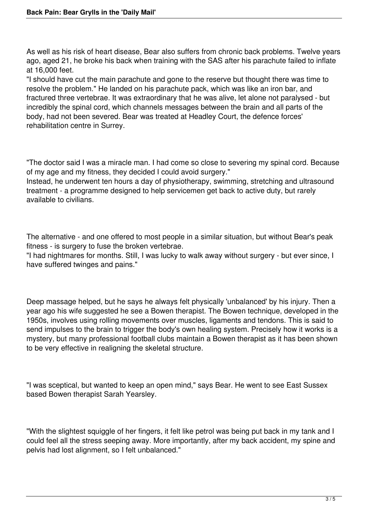As well as his risk of heart disease, Bear also suffers from chronic back problems. Twelve years ago, aged 21, he broke his back when training with the SAS after his parachute failed to inflate at 16,000 feet.

"I should have cut the main parachute and gone to the reserve but thought there was time to resolve the problem." He landed on his parachute pack, which was like an iron bar, and fractured three vertebrae. It was extraordinary that he was alive, let alone not paralysed - but incredibly the spinal cord, which channels messages between the brain and all parts of the body, had not been severed. Bear was treated at Headley Court, the defence forces' rehabilitation centre in Surrey.

"The doctor said I was a miracle man. I had come so close to severing my spinal cord. Because of my age and my fitness, they decided I could avoid surgery."

Instead, he underwent ten hours a day of physiotherapy, swimming, stretching and ultrasound treatment - a programme designed to help servicemen get back to active duty, but rarely available to civilians.

The alternative - and one offered to most people in a similar situation, but without Bear's peak fitness - is surgery to fuse the broken vertebrae.

"I had nightmares for months. Still, I was lucky to walk away without surgery - but ever since, I have suffered twinges and pains."

Deep massage helped, but he says he always felt physically 'unbalanced' by his injury. Then a year ago his wife suggested he see a Bowen therapist. The Bowen technique, developed in the 1950s, involves using rolling movements over muscles, ligaments and tendons. This is said to send impulses to the brain to trigger the body's own healing system. Precisely how it works is a mystery, but many professional football clubs maintain a Bowen therapist as it has been shown to be very effective in realigning the skeletal structure.

"I was sceptical, but wanted to keep an open mind," says Bear. He went to see East Sussex based Bowen therapist Sarah Yearsley.

"With the slightest squiggle of her fingers, it felt like petrol was being put back in my tank and I could feel all the stress seeping away. More importantly, after my back accident, my spine and pelvis had lost alignment, so I felt unbalanced."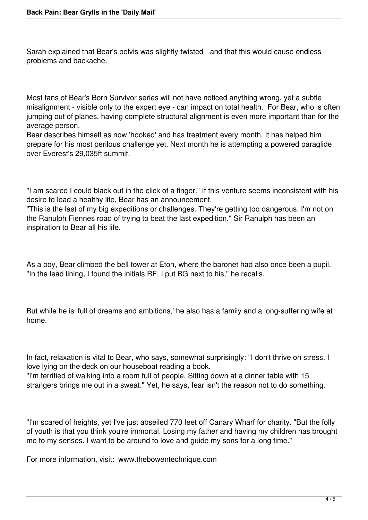Sarah explained that Bear's pelvis was slightly twisted - and that this would cause endless problems and backache.

Most fans of Bear's Born Survivor series will not have noticed anything wrong, yet a subtle misalignment - visible only to the expert eye - can impact on total health. For Bear, who is often jumping out of planes, having complete structural alignment is even more important than for the average person.

Bear describes himself as now 'hooked' and has treatment every month. It has helped him prepare for his most perilous challenge yet. Next month he is attempting a powered paraglide over Everest's 29,035ft summit.

"I am scared I could black out in the click of a finger." If this venture seems inconsistent with his desire to lead a healthy life, Bear has an announcement.

"This is the last of my big expeditions or challenges. They're getting too dangerous. I'm not on the Ranulph Fiennes road of trying to beat the last expedition." Sir Ranulph has been an inspiration to Bear all his life.

As a boy, Bear climbed the bell tower at Eton, where the baronet had also once been a pupil. "In the lead lining, I found the initials RF. I put BG next to his," he recalls.

But while he is 'full of dreams and ambitions,' he also has a family and a long-suffering wife at home.

In fact, relaxation is vital to Bear, who says, somewhat surprisingly: "I don't thrive on stress. I love lying on the deck on our houseboat reading a book. "I'm terrified of walking into a room full of people. Sitting down at a dinner table with 15 strangers brings me out in a sweat." Yet, he says, fear isn't the reason not to do something.

"I'm scared of heights, yet I've just abseiled 770 feet off Canary Wharf for charity. "But the folly of youth is that you think you're immortal. Losing my father and having my children has brought me to my senses. I want to be around to love and guide my sons for a long time."

For more information, visit: www.thebowentechnique.com